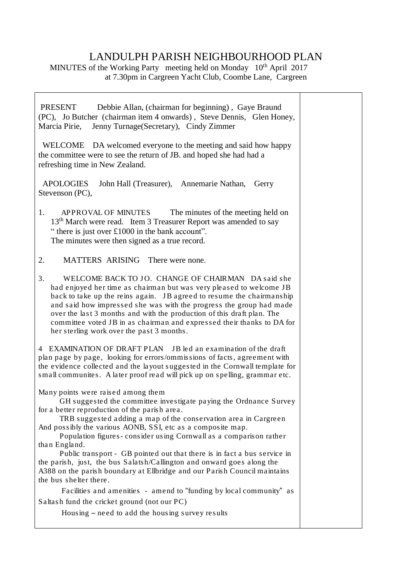## LANDULPH PARISH NEIGHBOURHOOD PLAN

MINUTES of the Working Party meeting held on Monday 10<sup>th</sup> April 2017 at 7.30pm in Cargreen Yacht Club, Coombe Lane, Cargreen